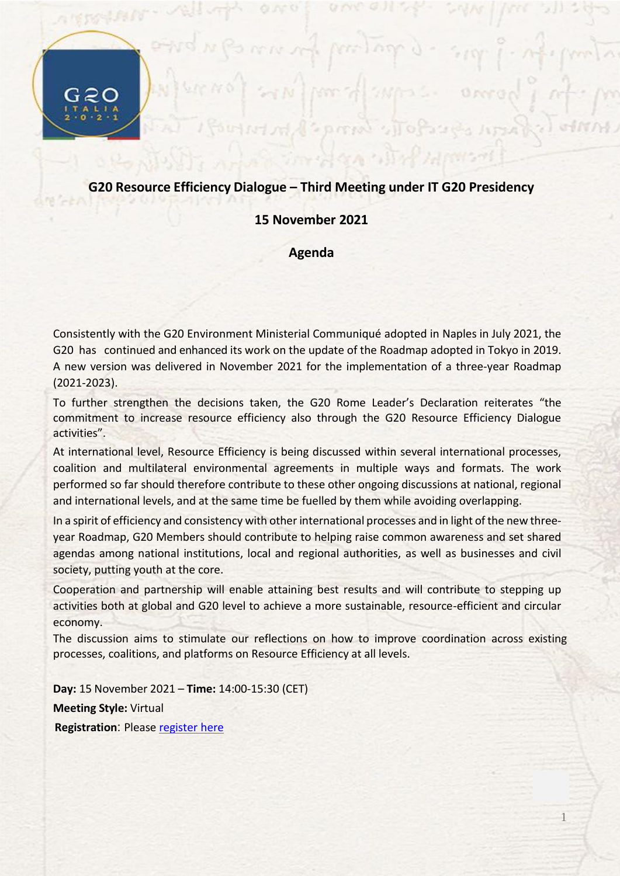## **G20 Resource Efficiency Dialogue – Third Meeting under IT G20 Presidency**

prend y

Oree

## **15 November 2021**

## **Agenda**

Consistently with the G20 Environment Ministerial Communiqué adopted in Naples in July 2021, the G20 has continued and enhanced its work on the update of the Roadmap adopted in Tokyo in 2019. A new version was delivered in November 2021 for the implementation of a three-year Roadmap (2021-2023).

To further strengthen the decisions taken, the G20 Rome Leader's Declaration reiterates "the commitment to increase resource efficiency also through the G20 Resource Efficiency Dialogue activities".

At international level, Resource Efficiency is being discussed within several international processes, coalition and multilateral environmental agreements in multiple ways and formats. The work performed so far should therefore contribute to these other ongoing discussions at national, regional and international levels, and at the same time be fuelled by them while avoiding overlapping.

In a spirit of efficiency and consistency with other international processes and in light of the new threeyear Roadmap, G20 Members should contribute to helping raise common awareness and set shared agendas among national institutions, local and regional authorities, as well as businesses and civil society, putting youth at the core.

Cooperation and partnership will enable attaining best results and will contribute to stepping up activities both at global and G20 level to achieve a more sustainable, resource-efficient and circular economy.

The discussion aims to stimulate our reflections on how to improve coordination across existing processes, coalitions, and platforms on Resource Efficiency at all levels.

1

**Day:** 15 November 2021 – **Time:** 14:00-15:30 (CET) **Meeting Style:** Virtual **Registration: Please [register](http://webdefence.global.blackspider.com/urlwrap/?q=AXicTZBNkpswFIS1yzpnyDr8OUxMVjF4ICIBxhgQZgdCA2KEcIHMjzdzgtwnx4syqVRl9aq-7urX1e_fgZ8aAL88AEa2aWanTOOs9CVleOBiHJiChx7oB_NYxddK3z9o1mdwJIwdOB8Um3BSEyHKrz0VRGmGWaECtEJcpy-quiyLMpKGToKMLRmJQm5qvXH1gyrdKpkJF-o_XSWb31YephH1YXqHekjhBHlsYgc-wJdrnjm-pUiTjo1sg91Ased-gnShRc82vIujC9LZH54-upe_3BUlWs1E3uIsQ1iWxBmkPxx_q4z1zZukLM1120aOfNZnRoFM7ZyeaNQFS3gMJLOW2mNzxQMa8Ylio51r3W7xLlyqna-lntTzA436oq2-hUxmTxdk8hq5vEjZrej3_2tbgeqr7LpdcjmmYaIi9-8lsm5vvbX2KWUn-nxeaIlcTbI17AIjSB6NoGvW55PS3JO8vtPFiaOeJslKDBg-vVzt_TFqLDRYE5prf4eL7xwCAF4_AvAbjG2ikQ&Z) here**